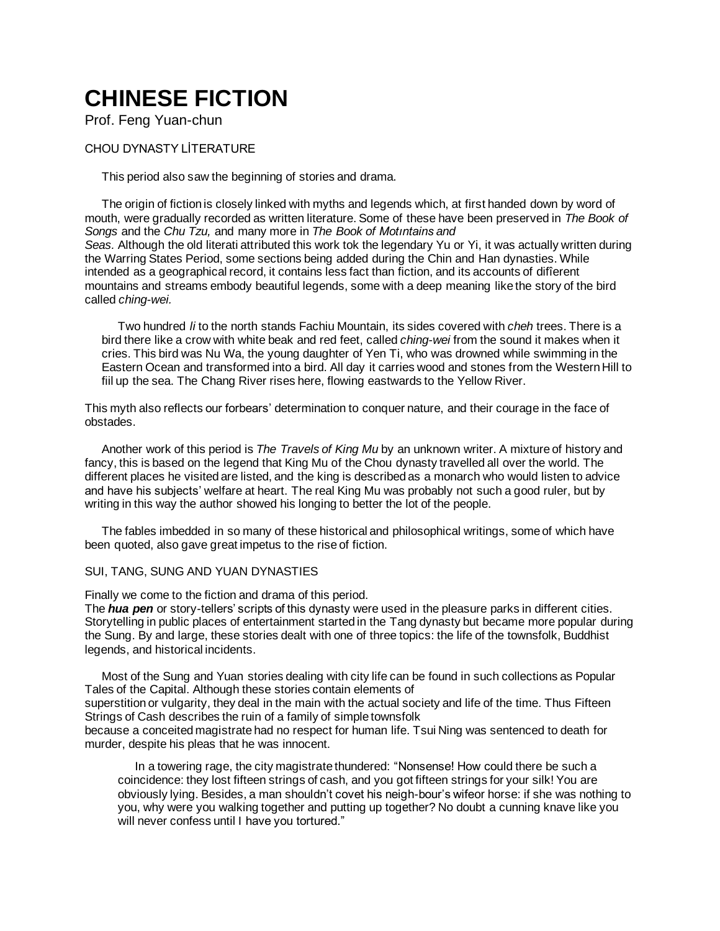# **CHINESE FICTION**

Prof. Feng Yuan-chun

## CHOU DYNASTY LİTERATURE

This period also saw the beginning of stories and drama.

The origin of fiction is closely linked with myths and legends which, at first handed down by word of mouth, were gradually recorded as written literature. Some of these have been preserved in *The Book of Songs* and the *Chu Tzu,* and many more in *The Book of Motıntains and Seas.* Although the old literati attributed this work tok the legendary Yu or Yi, it was actually written during the Warring States Period, some sections being added during the Chin and Han dynasties. While intended as a geographical record, it contains less fact than fiction, and its accounts of difîerent mountains and streams embody beautiful legends, some with a deep meaning like the story of the bird called *ching-wei.*

Two hundred *li* to the north stands Fachiu Mountain, its sides covered with *cheh* trees. There is a bird there like a crow with white beak and red feet, called *ching-wei* from the sound it makes when it cries. This bird was Nu Wa, the young daughter of Yen Ti, who was drowned while swimming in the Eastern Ocean and transformed into a bird. All day it carries wood and stones from the Western Hill to fiil up the sea. The Chang River rises here, flowing eastwards to the Yellow River.

This myth also reflects our forbears' determination to conquer nature, and their courage in the face of obstades.

Another work of this period is *The Travels of King Mu* by an unknown writer. A mixture of history and fancy, this is based on the legend that King Mu of the Chou dynasty travelled all over the world. The different places he visited are listed, and the king is described as a monarch who would listen to advice and have his subjects' welfare at heart. The real King Mu was probably not such a good ruler, but by writing in this way the author showed his longing to better the lot of the people.

The fables imbedded in so many of these historical and philosophical writings, some of which have been quoted, also gave great impetus to the rise of fiction.

## SUI, TANG, SUNG AND YUAN DYNASTIES

Finally we come to the fiction and drama of this period.

The *hua pen* or story-tellers' scripts of this dynasty were used in the pleasure parks in different cities. Storytelling in public places of entertainment started in the Tang dynasty but became more popular during the Sung. By and large, these stories dealt with one of three topics: the life of the townsfolk, Buddhist legends, and historical incidents.

Most of the Sung and Yuan stories dealing with city life can be found in such collections as Popular Tales of the Capital. Although these stories contain elements of

superstition or vulgarity, they deal in the main with the actual society and life of the time. Thus Fifteen Strings of Cash describes the ruin of a family of simple townsfolk

because a conceited magistrate had no respect for human life. Tsui Ning was sentenced to death for murder, despite his pleas that he was innocent.

In a towering rage, the city magistrate thundered: "Nonsense! How could there be such a coincidence: they lost fifteen strings of cash, and you got fifteen strings for your silk! You are obviously lying. Besides, a man shouldn't covet his neigh-bour's wifeor horse: if she was nothing to you, why were you walking together and putting up together? No doubt a cunning knave like you will never confess until I have you tortured."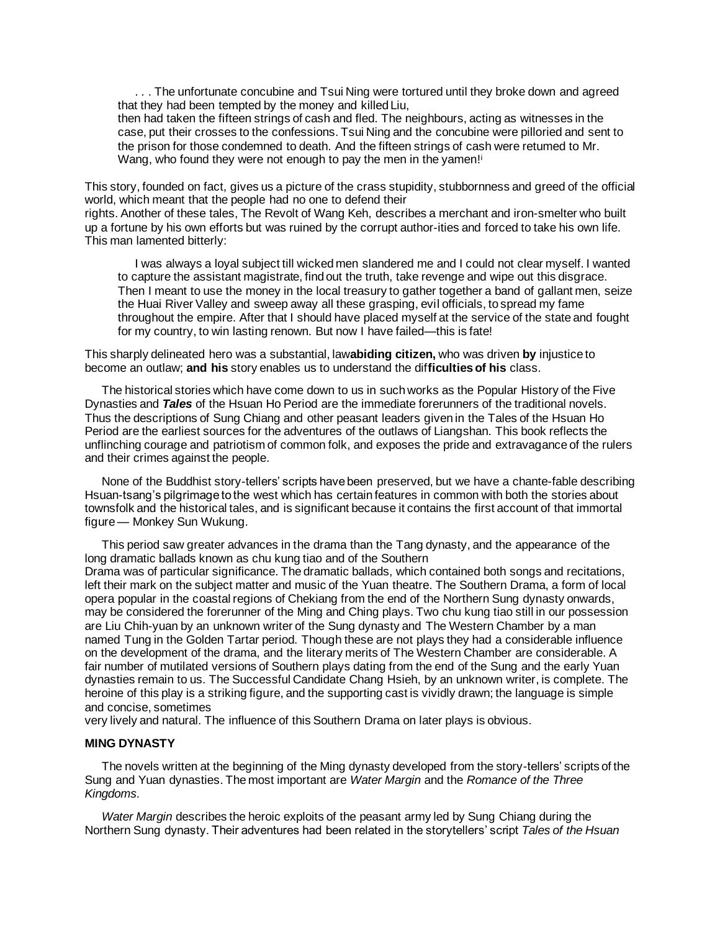. . . The unfortunate concubine and Tsui Ning were tortured until they broke down and agreed that they had been tempted by the money and killed Liu,

then had taken the fifteen strings of cash and fled. The neighbours, acting as witnesses in the case, put their crosses to the confessions. Tsui Ning and the concubine were pilloried and sent to the prison for those condemned to death. And the fifteen strings of cash were retumed to Mr. Wang, who found they were not enough to pay the men in the yamen!<sup>i</sup>

This story, founded on fact, gives us a picture of the crass stupidity, stubbornness and greed of the official world, which meant that the people had no one to defend their

rights. Another of these tales, The Revolt of Wang Keh, describes a merchant and iron-smelter who built up a fortune by his own efforts but was ruined by the corrupt author-ities and forced to take his own life. This man lamented bitterly:

I was always a loyal subject till wicked men slandered me and I could not clear myself. I wanted to capture the assistant magistrate, find out the truth, take revenge and wipe out this disgrace. Then I meant to use the money in the local treasury to gather together a band of gallant men, seize the Huai River Valley and sweep away all these grasping, evil officials, to spread my fame throughout the empire. After that I should have placed myself at the service of the state and fought for my country, to win lasting renown. But now I have failed—this is fate!

This sharply delineated hero was a substantial, law**abiding citizen,** who was driven **by** injustice to become an outlaw; **and his** story enables us to understand the dif**ficulties of his** class.

The historical stories which have come down to us in such works as the Popular History of the Five Dynasties and *Tales* of the Hsuan Ho Period are the immediate forerunners of the traditional novels. Thus the descriptions of Sung Chiang and other peasant leaders given in the Tales of the Hsuan Ho Period are the earliest sources for the adventures of the outlaws of Liangshan. This book reflects the unflinching courage and patriotism of common folk, and exposes the pride and extravagance of the rulers and their crimes against the people.

None of the Buddhist story-tellers' scripts have been preserved, but we have a chante-fable describing Hsuan-tsang's pilgrimage to the west which has certain features in common with both the stories about townsfolk and the historical tales, and is significant because it contains the first account of that immortal figure— Monkey Sun Wukung.

This period saw greater advances in the drama than the Tang dynasty, and the appearance of the long dramatic ballads known as chu kung tiao and of the Southern Drama was of particular significance. The dramatic ballads, which contained both songs and recitations, left their mark on the subject matter and music of the Yuan theatre. The Southern Drama, a form of local opera popular in the coastal regions of Chekiang from the end of the Northern Sung dynasty onwards, may be considered the forerunner of the Ming and Ching plays. Two chu kung tiao still in our possession are Liu Chih-yuan by an unknown writer of the Sung dynasty and The Western Chamber by a man named Tung in the Golden Tartar period. Though these are not plays they had a considerable influence on the development of the drama, and the literary merits of The Western Chamber are considerable. A fair number of mutilated versions of Southern plays dating from the end of the Sung and the early Yuan dynasties remain to us. The Successful Candidate Chang Hsieh, by an unknown writer, is complete. The

heroine of this play is a striking figure, and the supporting cast is vividly drawn; the language is simple

and concise, sometimes very lively and natural. The influence of this Southern Drama on later plays is obvious.

#### **MING DYNASTY**

The novels written at the beginning of the Ming dynasty developed from the story-tellers' scripts of the Sung and Yuan dynasties. The most important are *Water Margin* and the *Romance of the Three Kingdoms.*

*Water Margin* describes the heroic exploits of the peasant army led by Sung Chiang during the Northern Sung dynasty. Their adventures had been related in the storytellers' script *Tales of the Hsuan*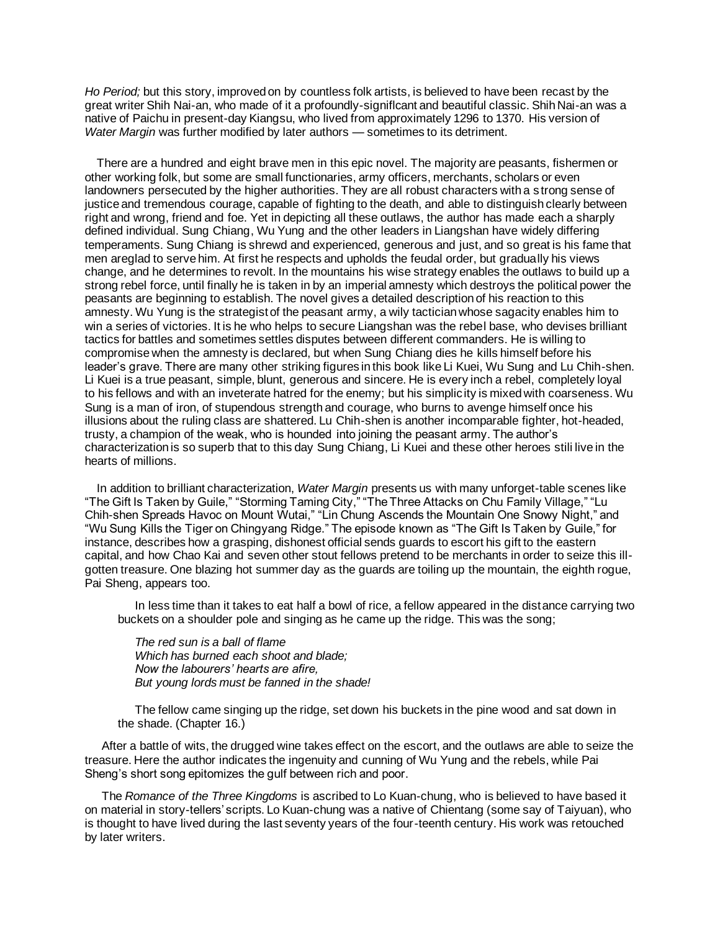*Ho Period;* but this story, improved on by countless folk artists, is believed to have been recast by the great writer Shih Nai-an, who made of it a profoundly-signiflcant and beautiful classic. Shih Nai-an was a native of Paichu in present-day Kiangsu, who lived from approximately 1296 to 1370. His version of *Water Margin* was further modified by later authors — sometimes to its detriment.

There are a hundred and eight brave men in this epic novel. The majority are peasants, fishermen or other working folk, but some are small functionaries, army officers, merchants, scholars or even landowners persecuted by the higher authorities. They are all robust characters with a s trong sense of justice and tremendous courage, capable of fighting to the death, and able to distinguish clearly between right and wrong, friend and foe. Yet in depicting all these outlaws, the author has made each a sharply defined individual. Sung Chiang, Wu Yung and the other leaders in Liangshan have widely differing temperaments. Sung Chiang is shrewd and experienced, generous and just, and so great is his fame that men areglad to serve him. At first he respects and upholds the feudal order, but gradually his views change, and he determines to revolt. In the mountains his wise strategy enables the outlaws to build up a strong rebel force, until finally he is taken in by an imperial amnesty which destroys the political power the peasants are beginning to establish. The novel gives a detailed description of his reaction to this amnesty. Wu Yung is the strategist of the peasant army, a wily tactician whose sagacity enables him to win a series of victories. It is he who helps to secure Liangshan was the rebel base, who devises brilliant tactics for battles and sometimes settles disputes between different commanders. He is willing to compromise when the amnesty is declared, but when Sung Chiang dies he kills himself before his leader's grave. There are many other striking figures in this book like Li Kuei, Wu Sung and Lu Chih-shen. Li Kuei is a true peasant, simple, blunt, generous and sincere. He is every inch a rebel, completely loyal to his fellows and with an inveterate hatred for the enemy; but his simplicity is mixed with coarseness. Wu Sung is a man of iron, of stupendous strength and courage, who burns to avenge himself once his illusions about the ruling class are shattered. Lu Chih-shen is another incomparable fighter, hot-headed, trusty, a champion of the weak, who is hounded into joining the peasant army. The author's characterization is so superb that to this day Sung Chiang, Li Kuei and these other heroes stili live in the hearts of millions.

In addition to brilliant characterization, *Water Margin* presents us with many unforget-table scenes like "The Gift Is Taken by Guile," "Storming Taming City," "The Three Attacks on Chu Family Village," "Lu Chih-shen Spreads Havoc on Mount Wutai," "Lin Chung Ascends the Mountain One Snowy Night," and "Wu Sung Kills the Tiger on Chingyang Ridge." The episode known as "The Gift Is Taken by Guile," for instance, describes how a grasping, dishonest official sends guards to escort his gift to the eastern capital, and how Chao Kai and seven other stout fellows pretend to be merchants in order to seize this illgotten treasure. One blazing hot summer day as the guards are toiling up the mountain, the eighth rogue, Pai Sheng, appears too.

In less time than it takes to eat half a bowl of rice, a fellow appeared in the distance carrying two buckets on a shoulder pole and singing as he came up the ridge. This was the song;

*The red sun is a ball of flame Which has burned each shoot and blade; Now the labourers' hearts are afire, But young lords must be fanned in the shade!*

The fellow came singing up the ridge, set down his buckets in the pine wood and sat down in the shade. (Chapter 16.)

After a battle of wits, the drugged wine takes effect on the escort, and the outlaws are able to seize the treasure. Here the author indicates the ingenuity and cunning of Wu Yung and the rebels, while Pai Sheng's short song epitomizes the gulf between rich and poor.

The *Romance of the Three Kingdoms* is ascribed to Lo Kuan-chung, who is believed to have based it on material in story-tellers' scripts. Lo Kuan-chung was a native of Chientang (some say of Taiyuan), who is thought to have lived during the last seventy years of the four-teenth century. His work was retouched by later writers.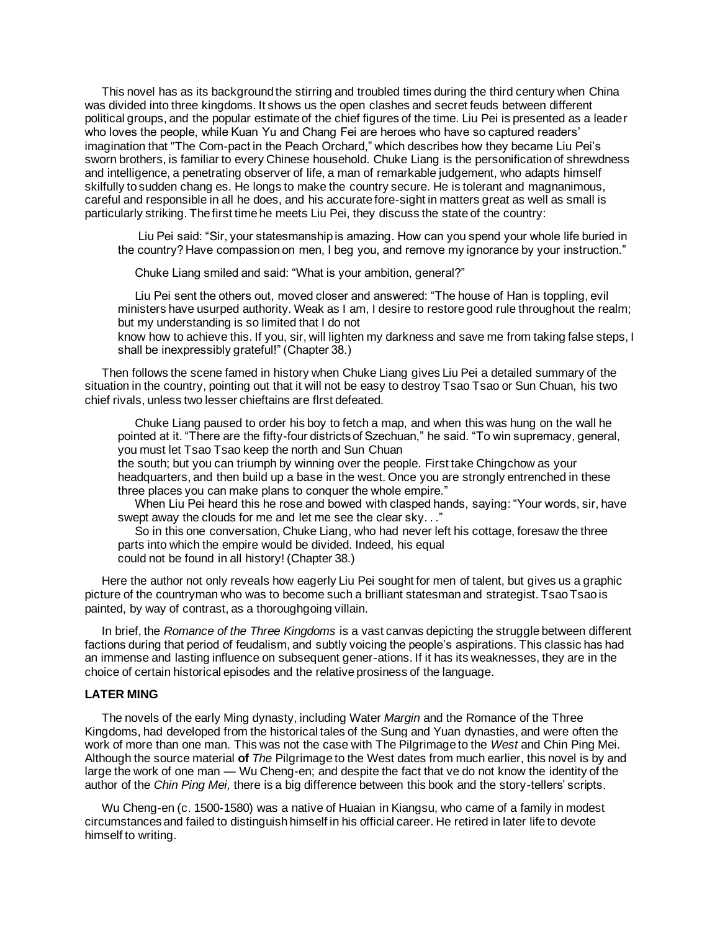This novel has as its background the stirring and troubled times during the third century when China was divided into three kingdoms. It shows us the open clashes and secret feuds between different political groups, and the popular estimate of the chief figures of the time. Liu Pei is presented as a leader who loves the people, while Kuan Yu and Chang Fei are heroes who have so captured readers' imagination that "The Com-pact in the Peach Orchard," which describes how they became Liu Pei's sworn brothers, is familiar to every Chinese household. Chuke Liang is the personification of shrewdness and intelligence, a penetrating observer of life, a man of remarkable judgement, who adapts himself skilfully to sudden chang es. He longs to make the country secure. He is tolerant and magnanimous, careful and responsible in all he does, and his accurate fore-sight in matters great as well as small is particularly striking. The first time he meets Liu Pei, they discuss the state of the country:

Liu Pei said: "Sir, your statesmanship is amazing. How can you spend your whole life buried in the country? Have compassion on men, I beg you, and remove my ignorance by your instruction."

Chuke Liang smiled and said: "What is your ambition, general?"

Liu Pei sent the others out, moved closer and answered: "The house of Han is toppling, evil ministers have usurped authority. Weak as I am, I desire to restore good rule throughout the realm; but my understanding is so limited that I do not

know how to achieve this. If you, sir, will lighten my darkness and save me from taking false steps, I shall be inexpressibly grateful!" (Chapter 38.)

Then follows the scene famed in history when Chuke Liang gives Liu Pei a detailed summary of the situation in the country, pointing out that it will not be easy to destroy Tsao Tsao or Sun Chuan, his two chief rivals, unless two lesser chieftains are flrst defeated.

Chuke Liang paused to order his boy to fetch a map, and when this was hung on the wall he pointed at it. "There are the fifty-four districts of Szechuan," he said. "To win supremacy, general, you must let Tsao Tsao keep the north and Sun Chuan

the south; but you can triumph by winning over the people. First take Chingchow as your headquarters, and then build up a base in the west. Once you are strongly entrenched in these three places you can make plans to conquer the whole empire."

When Liu Pei heard this he rose and bowed with clasped hands, saying: "Your words, sir, have swept away the clouds for me and let me see the clear sky. . ."

So in this one conversation, Chuke Liang, who had never left his cottage, foresaw the three parts into which the empire would be divided. Indeed, his equal could not be found in all history! (Chapter 38.)

Here the author not only reveals how eagerly Liu Pei sought for men of talent, but gives us a graphic picture of the countryman who was to become such a brilliant statesman and strategist. Tsao Tsao is painted, by way of contrast, as a thoroughgoing villain.

In brief, the *Romance of the Three Kingdoms* is a vast canvas depicting the struggle between different factions during that period of feudalism, and subtly voicing the people's aspirations. This classic has had an immense and lasting influence on subsequent gener-ations. If it has its weaknesses, they are in the choice of certain historical episodes and the relative prosiness of the language.

#### **LATER MING**

The novels of the early Ming dynasty, including Water *Margin* and the Romance of the Three Kingdoms, had developed from the historical tales of the Sung and Yuan dynasties, and were often the work of more than one man. This was not the case with The Pilgrimage to the *West* and Chin Ping Mei. Although the source material **of** *The* Pilgrimage to the West dates from much earlier, this novel is by and large the work of one man — Wu Cheng-en; and despite the fact that ve do not know the identity of the author of the *Chin Ping Mei,* there is a big difference between this book and the story-tellers' scripts.

Wu Cheng-en (c. 1500-1580) was a native of Huaian in Kiangsu, who came of a family in modest circumstances and failed to distinguish himself in his official career. He retired in later life to devote himself to writing.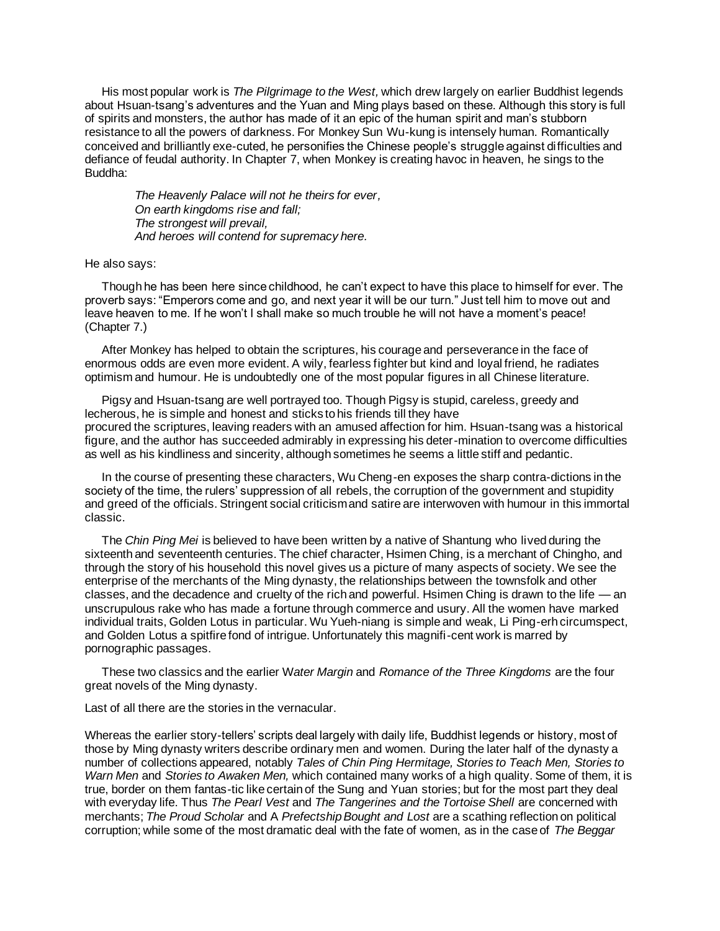His most popular work is *The Pilgrimage to the West,* which drew largely on earlier Buddhist legends about Hsuan-tsang's adventures and the Yuan and Ming plays based on these. Although this story is full of spirits and monsters, the author has made of it an epic of the human spirit and man's stubborn resistance to all the powers of darkness. For Monkey Sun Wu-kung is intensely human. Romantically conceived and brilliantly exe-cuted, he personifies the Chinese people's struggle against difficulties and defiance of feudal authority. In Chapter 7, when Monkey is creating havoc in heaven, he sings to the Buddha:

*The Heavenly Palace will not he theirs for ever, On earth kingdoms rise and fall; The strongest will prevail, And heroes will contend for supremacy here.*

He also says:

Though he has been here since childhood, he can't expect to have this place to himself for ever. The proverb says: "Emperors come and go, and next year it will be our turn." Just tell him to move out and leave heaven to me. If he won't I shall make so much trouble he will not have a moment's peace! (Chapter 7.)

After Monkey has helped to obtain the scriptures, his courage and perseverance in the face of enormous odds are even more evident. A wily, fearless fighter but kind and loyal friend, he radiates optimism and humour. He is undoubtedly one of the most popular figures in all Chinese literature.

Pigsy and Hsuan-tsang are well portrayed too. Though Pigsy is stupid, careless, greedy and lecherous, he is simple and honest and sticks to his friends till they have procured the scriptures, leaving readers with an amused affection for him. Hsuan-tsang was a historical figure, and the author has succeeded admirably in expressing his deter-mination to overcome difficulties as well as his kindliness and sincerity, although sometimes he seems a little stiff and pedantic.

In the course of presenting these characters, Wu Cheng-en exposes the sharp contra-dictions in the society of the time, the rulers' suppression of all rebels, the corruption of the government and stupidity and greed of the officials. Stringent social criticism and satire are interwoven with humour in this immortal classic.

The *Chin Ping Mei* is believed to have been written by a native of Shantung who lived during the sixteenth and seventeenth centuries. The chief character, Hsimen Ching, is a merchant of Chingho, and through the story of his household this novel gives us a picture of many aspects of society. We see the enterprise of the merchants of the Ming dynasty, the relationships between the townsfolk and other classes, and the decadence and cruelty of the rich and powerful. Hsimen Ching is drawn to the life — an unscrupulous rake who has made a fortune through commerce and usury. All the women have marked individual traits, Golden Lotus in particular. Wu Yueh-niang is simple and weak, Li Ping-erh circumspect, and Golden Lotus a spitfire fond of intrigue. Unfortunately this magnifi-cent work is marred by pornographic passages.

These two classics and the earlier W*ater Margin* and *Romance of the Three Kingdoms* are the four great novels of the Ming dynasty.

Last of all there are the stories in the vernacular.

Whereas the earlier story-tellers' scripts deal largely with daily life, Buddhist legends or history, most of those by Ming dynasty writers describe ordinary men and women. During the later half of the dynasty a number of collections appeared, notably *Tales of Chin Ping Hermitage, Stories to Teach Men, Stories to Warn Men* and *Stories to Awaken Men,* which contained many works of a high quality. Some of them, it is true, border on them fantas-tic like certain of the Sung and Yuan stories; but for the most part they deal with everyday life. Thus *The Pearl Vest* and *The Tangerines and the Tortoise Shell* are concerned with merchants; *The Proud Scholar* and A *Prefectship Bought and Lost* are a scathing reflection on political corruption; while some of the most dramatic deal with the fate of women, as in the case of *The Beggar*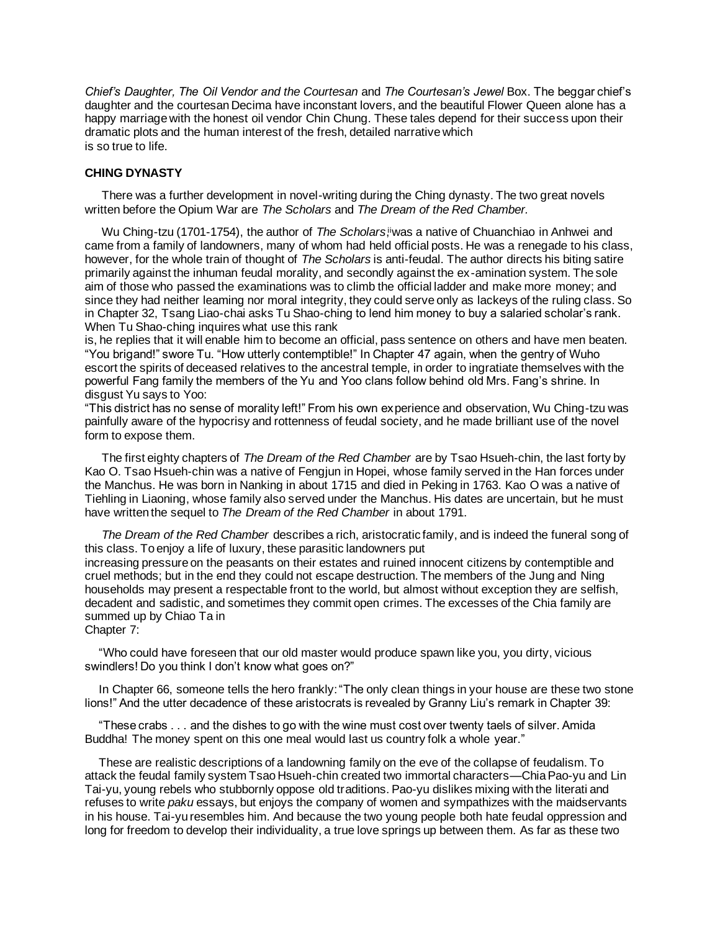*Chief's Daughter, The Oil Vendor and the Courtesan* and *The Courtesan's Jewel* Box. The beggar chief's daughter and the courtesan Decima have inconstant lovers, and the beautiful Flower Queen alone has a happy marriage with the honest oil vendor Chin Chung. These tales depend for their success upon their dramatic plots and the human interest of the fresh, detailed narrative which is so true to life.

#### **CHING DYNASTY**

There was a further development in novel-writing during the Ching dynasty. The two great novels written before the Opium War are *The Scholars* and *The Dream of the Red Chamber.*

Wu Ching-tzu (1701-1754), the author of *The Scholars*,<sup>i</sup>was a native of Chuanchiao in Anhwei and came from a family of landowners, many of whom had held official posts. He was a renegade to his class, however, for the whole train of thought of *The Scholars* is anti-feudal. The author directs his biting satire primarily against the inhuman feudal morality, and secondly against the ex-amination system. The sole aim of those who passed the examinations was to climb the official ladder and make more money; and since they had neither leaming nor moral integrity, they could serve only as lackeys of the ruling class. So in Chapter 32, Tsang Liao-chai asks Tu Shao-ching to lend him money to buy a salaried scholar's rank. When Tu Shao-ching inquires what use this rank

is, he replies that it will enable him to become an official, pass sentence on others and have men beaten. "You brigand!" swore Tu. "How utterly contemptible!" In Chapter 47 again, when the gentry of Wuho escort the spirits of deceased relatives to the ancestral temple, in order to ingratiate themselves with the powerful Fang family the members of the Yu and Yoo clans follow behind old Mrs. Fang's shrine. In disgust Yu says to Yoo:

"This district has no sense of morality left!" From his own experience and observation, Wu Ching-tzu was painfully aware of the hypocrisy and rottenness of feudal society, and he made brilliant use of the novel form to expose them.

The first eighty chapters of *The Dream of the Red Chamber* are by Tsao Hsueh-chin, the last forty by Kao O. Tsao Hsueh-chin was a native of Fengjun in Hopei, whose family served in the Han forces under the Manchus. He was born in Nanking in about 1715 and died in Peking in 1763. Kao O was a native of Tiehling in Liaoning, whose family also served under the Manchus. His dates are uncertain, but he must have written the sequel to *The Dream of the Red Chamber* in about 1791.

*The Dream of the Red Chamber* describes a rich, aristocratic family, and is indeed the funeral song of this class. To enjoy a life of luxury, these parasitic landowners put increasing pressure on the peasants on their estates and ruined innocent citizens by contemptible and cruel methods; but in the end they could not escape destruction. The members of the Jung and Ning households may present a respectable front to the world, but almost without exception they are selfish, decadent and sadistic, and sometimes they commit open crimes. The excesses of the Chia family are summed up by Chiao Ta in Chapter 7:

"Who could have foreseen that our old master would produce spawn like you, you dirty, vicious swindlers! Do you think I don't know what goes on?"

In Chapter 66, someone tells the hero frankly:"The only clean things in your house are these two stone lions!" And the utter decadence of these aristocrats is revealed by Granny Liu's remark in Chapter 39:

"These crabs . . . and the dishes to go with the wine must cost over twenty taels of silver. Amida Buddha! The money spent on this one meal would last us country folk a whole year."

These are realistic descriptions of a landowning family on the eve of the collapse of feudalism. To attack the feudal family system Tsao Hsueh-chin created two immortal characters—Chia Pao-yu and Lin Tai-yu, young rebels who stubbornly oppose old traditions. Pao-yu dislikes mixing with the literati and refuses to write *paku* essays, but enjoys the company of women and sympathizes with the maidservants in his house. Tai-yu resembles him. And because the two young people both hate feudal oppression and long for freedom to develop their individuality, a true love springs up between them. As far as these two